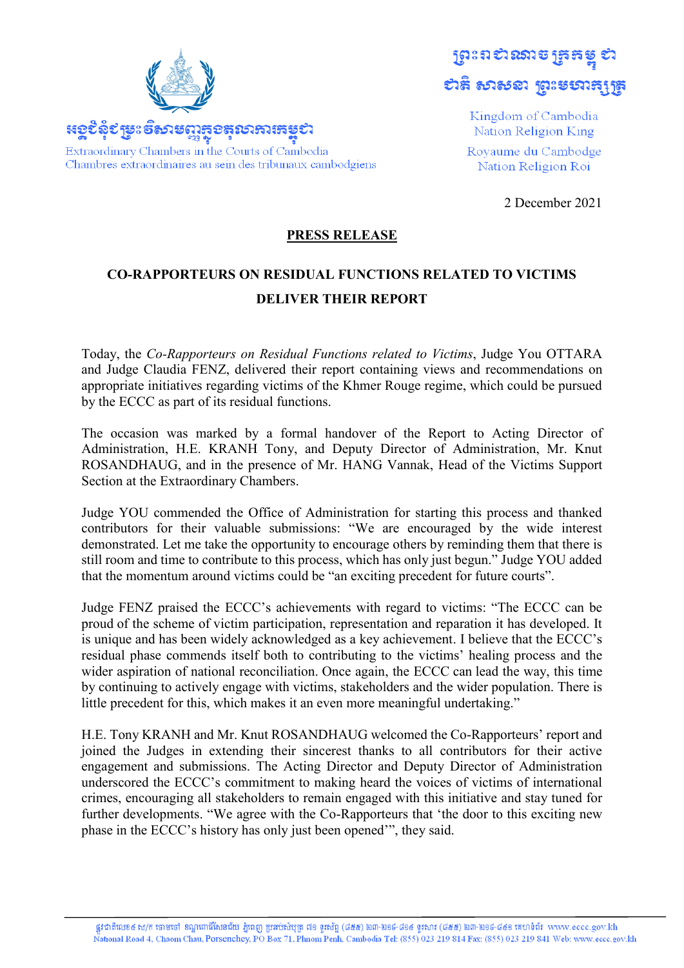

ស្រះពស់ឈាមច្រកម្ព ยาลิ อาอรลา ชูวะยอาธุบุธ

> Kingdom of Cambodia Nation Religion King Royaume du Cambodge Nation Religion Roi

> > 2 December 2021

## **PRESS RELEASE**

## **CO-RAPPORTEURS ON RESIDUAL FUNCTIONS RELATED TO VICTIMS DELIVER THEIR REPORT**

Today, the *Co-Rapporteurs on Residual Functions related to Victims*, Judge You OTTARA and Judge Claudia FENZ, delivered their report containing views and recommendations on appropriate initiatives regarding victims of the Khmer Rouge regime, which could be pursued by the ECCC as part of its residual functions.

The occasion was marked by a formal handover of the Report to Acting Director of Administration, H.E. KRANH Tony, and Deputy Director of Administration, Mr. Knut ROSANDHAUG, and in the presence of Mr. HANG Vannak, Head of the Victims Support Section at the Extraordinary Chambers.

Judge YOU commended the Office of Administration for starting this process and thanked contributors for their valuable submissions: "We are encouraged by the wide interest demonstrated. Let me take the opportunity to encourage others by reminding them that there is still room and time to contribute to this process, which has only just begun." Judge YOU added that the momentum around victims could be "an exciting precedent for future courts".

Judge FENZ praised the ECCC's achievements with regard to victims: "The ECCC can be proud of the scheme of victim participation, representation and reparation it has developed. It is unique and has been widely acknowledged as a key achievement. I believe that the ECCC's residual phase commends itself both to contributing to the victims' healing process and the wider aspiration of national reconciliation. Once again, the ECCC can lead the way, this time by continuing to actively engage with victims, stakeholders and the wider population. There is little precedent for this, which makes it an even more meaningful undertaking."

H.E. Tony KRANH and Mr. Knut ROSANDHAUG welcomed the Co-Rapporteurs' report and joined the Judges in extending their sincerest thanks to all contributors for their active engagement and submissions. The Acting Director and Deputy Director of Administration underscored the ECCC's commitment to making heard the voices of victims of international crimes, encouraging all stakeholders to remain engaged with this initiative and stay tuned for further developments. "We agree with the Co-Rapporteurs that 'the door to this exciting new phase in the ECCC's history has only just been opened'", they said.